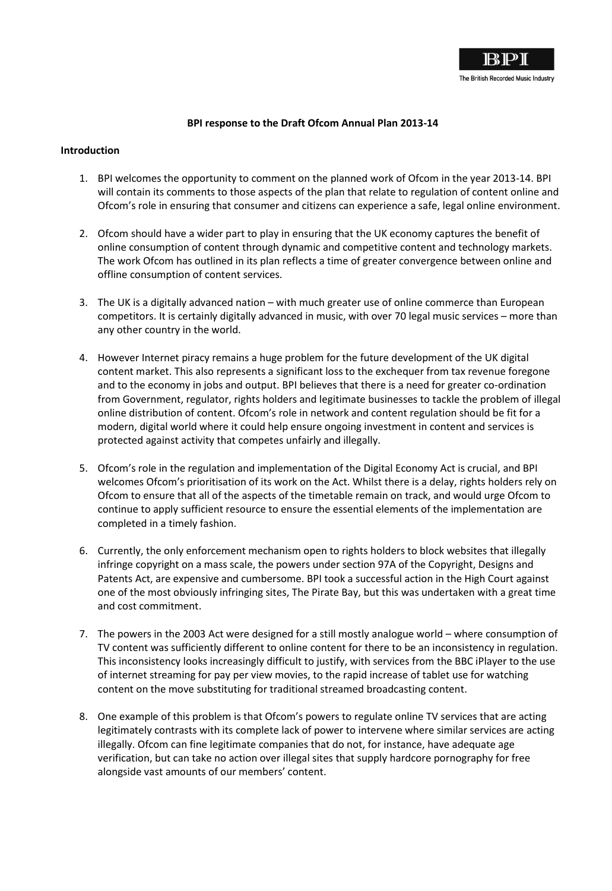

## **BPI response to the Draft Ofcom Annual Plan 2013-14**

## **Introduction**

- 1. BPI welcomes the opportunity to comment on the planned work of Ofcom in the year 2013-14. BPI will contain its comments to those aspects of the plan that relate to regulation of content online and Ofcom's role in ensuring that consumer and citizens can experience a safe, legal online environment.
- 2. Ofcom should have a wider part to play in ensuring that the UK economy captures the benefit of online consumption of content through dynamic and competitive content and technology markets. The work Ofcom has outlined in its plan reflects a time of greater convergence between online and offline consumption of content services.
- 3. The UK is a digitally advanced nation with much greater use of online commerce than European competitors. It is certainly digitally advanced in music, with over 70 legal music services – more than any other country in the world.
- 4. However Internet piracy remains a huge problem for the future development of the UK digital content market. This also represents a significant loss to the exchequer from tax revenue foregone and to the economy in jobs and output. BPI believes that there is a need for greater co-ordination from Government, regulator, rights holders and legitimate businesses to tackle the problem of illegal online distribution of content. Ofcom's role in network and content regulation should be fit for a modern, digital world where it could help ensure ongoing investment in content and services is protected against activity that competes unfairly and illegally.
- 5. Ofcom's role in the regulation and implementation of the Digital Economy Act is crucial, and BPI welcomes Ofcom's prioritisation of its work on the Act. Whilst there is a delay, rights holders rely on Ofcom to ensure that all of the aspects of the timetable remain on track, and would urge Ofcom to continue to apply sufficient resource to ensure the essential elements of the implementation are completed in a timely fashion.
- 6. Currently, the only enforcement mechanism open to rights holders to block websites that illegally infringe copyright on a mass scale, the powers under section 97A of the Copyright, Designs and Patents Act, are expensive and cumbersome. BPI took a successful action in the High Court against one of the most obviously infringing sites, The Pirate Bay, but this was undertaken with a great time and cost commitment.
- 7. The powers in the 2003 Act were designed for a still mostly analogue world where consumption of TV content was sufficiently different to online content for there to be an inconsistency in regulation. This inconsistency looks increasingly difficult to justify, with services from the BBC iPlayer to the use of internet streaming for pay per view movies, to the rapid increase of tablet use for watching content on the move substituting for traditional streamed broadcasting content.
- 8. One example of this problem is that Ofcom's powers to regulate online TV services that are acting legitimately contrasts with its complete lack of power to intervene where similar services are acting illegally. Ofcom can fine legitimate companies that do not, for instance, have adequate age verification, but can take no action over illegal sites that supply hardcore pornography for free alongside vast amounts of our members' content.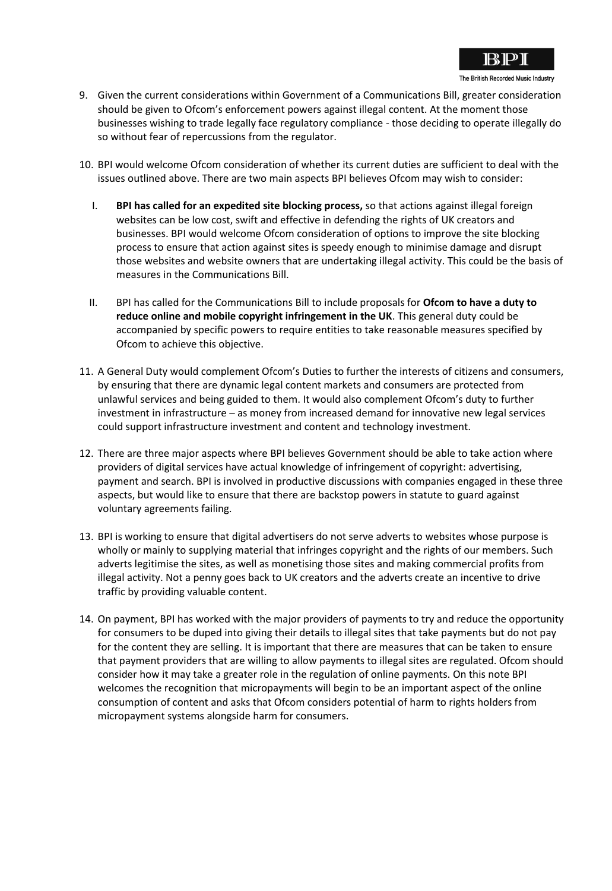

- 9. Given the current considerations within Government of a Communications Bill, greater consideration should be given to Ofcom's enforcement powers against illegal content. At the moment those businesses wishing to trade legally face regulatory compliance - those deciding to operate illegally do so without fear of repercussions from the regulator.
- 10. BPI would welcome Ofcom consideration of whether its current duties are sufficient to deal with the issues outlined above. There are two main aspects BPI believes Ofcom may wish to consider:
	- I. **BPI has called for an expedited site blocking process,** so that actions against illegal foreign websites can be low cost, swift and effective in defending the rights of UK creators and businesses. BPI would welcome Ofcom consideration of options to improve the site blocking process to ensure that action against sites is speedy enough to minimise damage and disrupt those websites and website owners that are undertaking illegal activity. This could be the basis of measures in the Communications Bill.
	- II. BPI has called for the Communications Bill to include proposals for **Ofcom to have a duty to reduce online and mobile copyright infringement in the UK**. This general duty could be accompanied by specific powers to require entities to take reasonable measures specified by Ofcom to achieve this objective.
- 11. A General Duty would complement Ofcom's Duties to further the interests of citizens and consumers, by ensuring that there are dynamic legal content markets and consumers are protected from unlawful services and being guided to them. It would also complement Ofcom's duty to further investment in infrastructure – as money from increased demand for innovative new legal services could support infrastructure investment and content and technology investment.
- 12. There are three major aspects where BPI believes Government should be able to take action where providers of digital services have actual knowledge of infringement of copyright: advertising, payment and search. BPI is involved in productive discussions with companies engaged in these three aspects, but would like to ensure that there are backstop powers in statute to guard against voluntary agreements failing.
- 13. BPI is working to ensure that digital advertisers do not serve adverts to websites whose purpose is wholly or mainly to supplying material that infringes copyright and the rights of our members. Such adverts legitimise the sites, as well as monetising those sites and making commercial profits from illegal activity. Not a penny goes back to UK creators and the adverts create an incentive to drive traffic by providing valuable content.
- 14. On payment, BPI has worked with the major providers of payments to try and reduce the opportunity for consumers to be duped into giving their details to illegal sites that take payments but do not pay for the content they are selling. It is important that there are measures that can be taken to ensure that payment providers that are willing to allow payments to illegal sites are regulated. Ofcom should consider how it may take a greater role in the regulation of online payments. On this note BPI welcomes the recognition that micropayments will begin to be an important aspect of the online consumption of content and asks that Ofcom considers potential of harm to rights holders from micropayment systems alongside harm for consumers.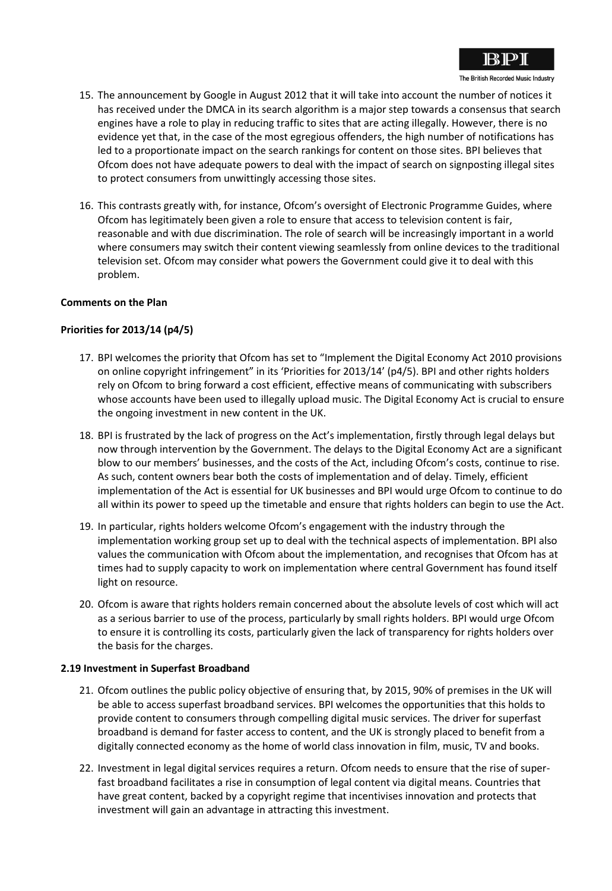

- 15. The announcement by Google in August 2012 that it will take into account the number of notices it has received under the DMCA in its search algorithm is a major step towards a consensus that search engines have a role to play in reducing traffic to sites that are acting illegally. However, there is no evidence yet that, in the case of the most egregious offenders, the high number of notifications has led to a proportionate impact on the search rankings for content on those sites. BPI believes that Ofcom does not have adequate powers to deal with the impact of search on signposting illegal sites to protect consumers from unwittingly accessing those sites.
- 16. This contrasts greatly with, for instance, Ofcom's oversight of Electronic Programme Guides, where Ofcom has legitimately been given a role to ensure that access to television content is fair, reasonable and with due discrimination. The role of search will be increasingly important in a world where consumers may switch their content viewing seamlessly from online devices to the traditional television set. Ofcom may consider what powers the Government could give it to deal with this problem.

### **Comments on the Plan**

# **Priorities for 2013/14 (p4/5)**

- 17. BPI welcomes the priority that Ofcom has set to "Implement the Digital Economy Act 2010 provisions on online copyright infringement" in its 'Priorities for 2013/14' (p4/5). BPI and other rights holders rely on Ofcom to bring forward a cost efficient, effective means of communicating with subscribers whose accounts have been used to illegally upload music. The Digital Economy Act is crucial to ensure the ongoing investment in new content in the UK.
- 18. BPI is frustrated by the lack of progress on the Act's implementation, firstly through legal delays but now through intervention by the Government. The delays to the Digital Economy Act are a significant blow to our members' businesses, and the costs of the Act, including Ofcom's costs, continue to rise. As such, content owners bear both the costs of implementation and of delay. Timely, efficient implementation of the Act is essential for UK businesses and BPI would urge Ofcom to continue to do all within its power to speed up the timetable and ensure that rights holders can begin to use the Act.
- 19. In particular, rights holders welcome Ofcom's engagement with the industry through the implementation working group set up to deal with the technical aspects of implementation. BPI also values the communication with Ofcom about the implementation, and recognises that Ofcom has at times had to supply capacity to work on implementation where central Government has found itself light on resource.
- 20. Ofcom is aware that rights holders remain concerned about the absolute levels of cost which will act as a serious barrier to use of the process, particularly by small rights holders. BPI would urge Ofcom to ensure it is controlling its costs, particularly given the lack of transparency for rights holders over the basis for the charges.

#### **2.19 Investment in Superfast Broadband**

- 21. Ofcom outlines the public policy objective of ensuring that, by 2015, 90% of premises in the UK will be able to access superfast broadband services. BPI welcomes the opportunities that this holds to provide content to consumers through compelling digital music services. The driver for superfast broadband is demand for faster access to content, and the UK is strongly placed to benefit from a digitally connected economy as the home of world class innovation in film, music, TV and books.
- 22. Investment in legal digital services requires a return. Ofcom needs to ensure that the rise of superfast broadband facilitates a rise in consumption of legal content via digital means. Countries that have great content, backed by a copyright regime that incentivises innovation and protects that investment will gain an advantage in attracting this investment.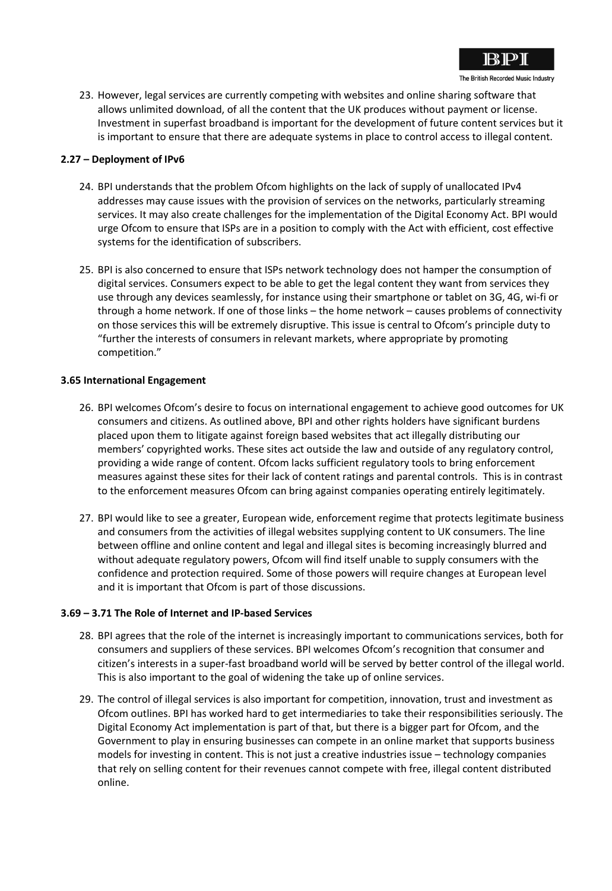

23. However, legal services are currently competing with websites and online sharing software that allows unlimited download, of all the content that the UK produces without payment or license. Investment in superfast broadband is important for the development of future content services but it is important to ensure that there are adequate systems in place to control access to illegal content.

## **2.27 – Deployment of IPv6**

- 24. BPI understands that the problem Ofcom highlights on the lack of supply of unallocated IPv4 addresses may cause issues with the provision of services on the networks, particularly streaming services. It may also create challenges for the implementation of the Digital Economy Act. BPI would urge Ofcom to ensure that ISPs are in a position to comply with the Act with efficient, cost effective systems for the identification of subscribers.
- 25. BPI is also concerned to ensure that ISPs network technology does not hamper the consumption of digital services. Consumers expect to be able to get the legal content they want from services they use through any devices seamlessly, for instance using their smartphone or tablet on 3G, 4G, wi-fi or through a home network. If one of those links – the home network – causes problems of connectivity on those services this will be extremely disruptive. This issue is central to Ofcom's principle duty to "further the interests of consumers in relevant markets, where appropriate by promoting competition."

## **3.65 International Engagement**

- 26. BPI welcomes Ofcom's desire to focus on international engagement to achieve good outcomes for UK consumers and citizens. As outlined above, BPI and other rights holders have significant burdens placed upon them to litigate against foreign based websites that act illegally distributing our members' copyrighted works. These sites act outside the law and outside of any regulatory control, providing a wide range of content. Ofcom lacks sufficient regulatory tools to bring enforcement measures against these sites for their lack of content ratings and parental controls. This is in contrast to the enforcement measures Ofcom can bring against companies operating entirely legitimately.
- 27. BPI would like to see a greater, European wide, enforcement regime that protects legitimate business and consumers from the activities of illegal websites supplying content to UK consumers. The line between offline and online content and legal and illegal sites is becoming increasingly blurred and without adequate regulatory powers, Ofcom will find itself unable to supply consumers with the confidence and protection required. Some of those powers will require changes at European level and it is important that Ofcom is part of those discussions.

#### **3.69 – 3.71 The Role of Internet and IP-based Services**

- 28. BPI agrees that the role of the internet is increasingly important to communications services, both for consumers and suppliers of these services. BPI welcomes Ofcom's recognition that consumer and citizen's interests in a super-fast broadband world will be served by better control of the illegal world. This is also important to the goal of widening the take up of online services.
- 29. The control of illegal services is also important for competition, innovation, trust and investment as Ofcom outlines. BPI has worked hard to get intermediaries to take their responsibilities seriously. The Digital Economy Act implementation is part of that, but there is a bigger part for Ofcom, and the Government to play in ensuring businesses can compete in an online market that supports business models for investing in content. This is not just a creative industries issue – technology companies that rely on selling content for their revenues cannot compete with free, illegal content distributed online.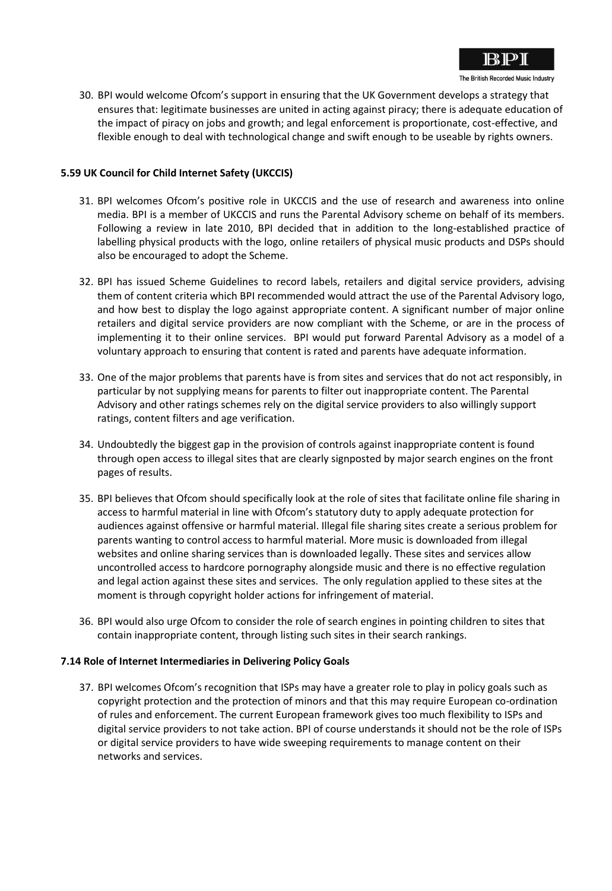

30. BPI would welcome Ofcom's support in ensuring that the UK Government develops a strategy that ensures that: legitimate businesses are united in acting against piracy; there is adequate education of the impact of piracy on jobs and growth; and legal enforcement is proportionate, cost-effective, and flexible enough to deal with technological change and swift enough to be useable by rights owners.

# **5.59 UK Council for Child Internet Safety (UKCCIS)**

- 31. BPI welcomes Ofcom's positive role in UKCCIS and the use of research and awareness into online media. BPI is a member of UKCCIS and runs the Parental Advisory scheme on behalf of its members. Following a review in late 2010, BPI decided that in addition to the long-established practice of labelling physical products with the logo, online retailers of physical music products and DSPs should also be encouraged to adopt the Scheme.
- 32. BPI has issued Scheme Guidelines to record labels, retailers and digital service providers, advising them of content criteria which BPI recommended would attract the use of the Parental Advisory logo, and how best to display the logo against appropriate content. A significant number of major online retailers and digital service providers are now compliant with the Scheme, or are in the process of implementing it to their online services. BPI would put forward Parental Advisory as a model of a voluntary approach to ensuring that content is rated and parents have adequate information.
- 33. One of the major problems that parents have is from sites and services that do not act responsibly, in particular by not supplying means for parents to filter out inappropriate content. The Parental Advisory and other ratings schemes rely on the digital service providers to also willingly support ratings, content filters and age verification.
- 34. Undoubtedly the biggest gap in the provision of controls against inappropriate content is found through open access to illegal sites that are clearly signposted by major search engines on the front pages of results.
- 35. BPI believes that Ofcom should specifically look at the role of sites that facilitate online file sharing in access to harmful material in line with Ofcom's statutory duty to apply adequate protection for audiences against offensive or harmful material. Illegal file sharing sites create a serious problem for parents wanting to control access to harmful material. More music is downloaded from illegal websites and online sharing services than is downloaded legally. These sites and services allow uncontrolled access to hardcore pornography alongside music and there is no effective regulation and legal action against these sites and services. The only regulation applied to these sites at the moment is through copyright holder actions for infringement of material.
- 36. BPI would also urge Ofcom to consider the role of search engines in pointing children to sites that contain inappropriate content, through listing such sites in their search rankings.

## **7.14 Role of Internet Intermediaries in Delivering Policy Goals**

37. BPI welcomes Ofcom's recognition that ISPs may have a greater role to play in policy goals such as copyright protection and the protection of minors and that this may require European co-ordination of rules and enforcement. The current European framework gives too much flexibility to ISPs and digital service providers to not take action. BPI of course understands it should not be the role of ISPs or digital service providers to have wide sweeping requirements to manage content on their networks and services.